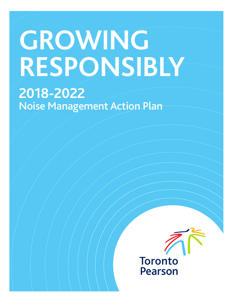# **GROWING RESPONSIBLY**

## **2018-2022**  Noise Management Action Plan

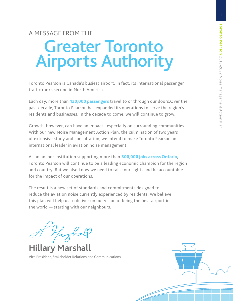1

## Greater Toronto Airports Authority A MESSAGE FROM THE

Toronto Pearson is Canada's busiest airport. In fact, its international passenger traffic ranks second in North America.

Each day, more than 120,000 passengers travel to or through our doors. Over the past decade, Toronto Pearson has expanded its operations to serve the region's residents and businesses. In the decade to come, we will continue to grow.

Growth, however, can have an impact—especially on surrounding communities. With our new Noise Management Action Plan, the culmination of two years of extensive study and consultation, we intend to make Toronto Pearson an international leader in aviation noise management.

As an anchor institution supporting more than 300,000 jobs across Ontario, Toronto Pearson will continue to be a leading economic champion for the region and country. But we also know we need to raise our sights and be accountable for the impact of our operations.

The result is a new set of standards and commitments designed to reduce the aviation noise currently experienced by residents. We believe this plan will help us to deliver on our vision of being the best airport in the world — starting with our neighbours.

Yaighall

**Hillary Marshall**

Vice President, Stakeholder Relations and Communications

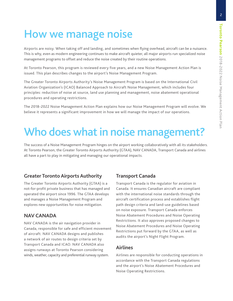### How we manage noise

Airports are noisy. When taking off and landing, and sometimes when flying overhead, aircraft can be a nuisance. This is why, even as modern engineering continues to make aircraft quieter, all major airports run specialized noise management programs to offset and reduce the noise created by their routine operations.

At Toronto Pearson, this program is reviewed every five years, and a new Noise Management Action Plan is issued. This plan describes changes to the airport's Noise Management Program.

The Greater Toronto Airports Authority's Noise Management Program is based on the International Civil Aviation Organization's (ICAO) Balanced Approach to Aircraft Noise Management, which includes four principles: reduction of noise at source, land use planning and management, noise abatement operational procedures and operating restrictions.

The 2018-2022 Noise Management Action Plan explains how our Noise Management Program will evolve. We believe it represents a significant improvement in how we will manage the impact of our operations.

## Who does what in noise management?

The success of a Noise Management Program hinges on the airport working collaboratively with all its stakeholders. At Toronto Pearson, the Greater Toronto Airports Authority (GTAA), NAV CANADA, Transport Canada and airlines all have a part to play in mitigating and managing our operational impacts.

#### **Greater Toronto Airports Authority**

The Greater Toronto Airports Authority (GTAA) is a not-for-profit private business that has managed and operated the airport since 1996. The GTAA develops and manages a Noise Management Program and explores new opportunities for noise mitigation.

#### **NAV CANADA**

NAV CANADA is the air navigation provider in Canada, responsible for safe and efficient movement of aircraft. NAV CANADA designs and publishes a network of air routes to design criteria set by Transport Canada and ICAO. NAV CANADA also assigns runways at Toronto Pearson considering winds, weather, capacity and preferential runway system.

#### **Transport Canada**

Transport Canada is the regulator for aviation in Canada. It ensures Canadian aircraft are compliant with the international noise standards through the aircraft certification process and establishes flight path design criteria and land-use guidelines based on noise exposure. Transport Canada enforces Noise Abatement Procedures and Noise Operating Restrictions. It also approves proposed changes to Noise Abatement Procedures and Noise Operating Restrictions put forward by the GTAA, as well as audits the airport's Night Flight Program.

#### **Airlines**

Airlines are responsible for conducting operations in accordance with the Transport Canada regulations and the airport's Noise Abatement Procedures and Noise Operating Restrictions.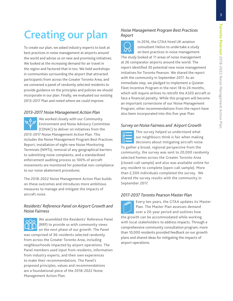## Creating our plan

To create our plan, we asked industry experts to look at best practices in noise management at airports around the world and advise us on new and promising initiatives. We looked at the increasing demand for air travel in the region and factored that in too. We held workshops in communities surrounding the airport that attracted participants from across the Greater Toronto Area, and we convened a panel of randomly selected residents to provide guidance on the principles and policies we should incorporate in our plan. Finally, we evaluated our existing 2013-2017 Plan and noted where we could improve.

#### *2013-2017 Noise Management Action Plan*

We worked closely with our Community Environment and Noise Advisory Committee (CENAC) to deliver on initiatives from the 2013-2017 Noise Management Action Plan. This includes the Noise Management Program Best Practices Report, installation of eight new Noise Monitoring Terminals (NMTs), removal of any geographical barriers to submitting noise complaints, and a standardized enforcement auditing process so 100% of aircraft movements are monitored for potential non-compliance to our noise abatement procedures.

The 2018-2022 Noise Management Action Plan builds on these outcomes and introduces more ambitious measures to manage and mitigate the impacts of aircraft noise.

#### *Residents' Reference Panel on Airport Growth and Noise Fairness*

We assembled the Residents' Reference Panel ∩∩∩ (RRP) to provide us with community views on the next phase of our growth. The Panel was comprised of 36-residents selected randomly from across the Greater Toronto Area, including neighbourhoods impacted by airport operations. The Panel members used input from residents, information from industry experts, and their own experiences to make their recommendations. The Panel's proposed principles, values and recommendations are a foundational piece of the 2018-2022 Noise Management Action Plan.

#### *Noise Management Program Best Practices Report*



In 2016, the GTAA hired UK aviation consultant Helios to undertake a study on best practices in noise management. The study looked at 11 areas of noise management at 26 comparator airports around the world. The report identified 30 potential new noise management initiatives for Toronto Pearson. We shared the report with the community in September 2017. As an immediate step, we pledged to implement a Quieter Fleet Incentive Program in the next 18 to 24 months, which will require airlines to retrofit the A320 aircraft or face a financial penalty. While this program will become an important cornerstone of our Noise Management Program, other recommendations from the report have also been incorporated into this five-year Plan.

#### *Survey on Noise Fairness and Airport Growth*



This survey helped us understand what our neighbours think is fair when making decisions about mitigating aircraft noise.

To gather a broad, regional perspective from the community, the survey was sent to 20,000 randomly selected homes across the Greater Toronto Area (closed-call sample) and also was available online for any resident to complete (open-call sample). More than 2,500 individuals completed the survey. We shared the survey results with the community in September 2017.

#### *2017-2037 Toronto Pearson Master Plan*

Every ten years, the GTAA updates its Master Plan. The Master Plan assesses demand over a 20-year period and outlines how the growth can be accommodated while working with local stakeholders to address impacts. Through a comprehensive community consultation program, more than 10,000 residents provided feedback on our growth plans and shared ideas for mitigating the impacts of airport operations.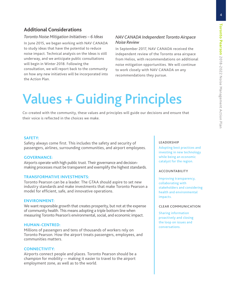4

#### **Additional Considerations**

#### *Toronto Noise Mitigation Initiatives – 6 Ideas*

In June 2015, we began working with NAV CANADA to study ideas that have the potential to reduce noise impact. Technical analysis on the Ideas is still underway, and we anticipate public consultations will begin in Winter 2018. Following the consultation, we will report back to the community on how any new initiatives will be incorporated into the Action Plan.

#### *NAV CANADA Independent Toronto Airspace Noise Review*

In September 2017, NAV CANADA received the independent review of the Toronto area airspace from Helios, with recommendations on additional noise mitigation opportunities. We will continue to work closely with NAV CANADA on any recommendations they pursue.

## Values + Guiding Principles

Co-created with the community, these values and principles will guide our decisions and ensure that their voice is reflected in the choices we make.

#### **SAFETY:**

Safety always come first. This includes the safety and security of passengers, airlines, surrounding communities, and airport employees.

#### **GOVERNANCE:**

Airports operate with high public trust. Their governance and decisionmaking processes must be transparent and exemplify the highest standards.

#### **TRANSFORMATIVE INVESTMENTS:**

Toronto Pearson can be a leader. The GTAA should aspire to set new industry standards and make investments that make Toronto Pearson a model for efficient, safe, and innovative operations.

#### **ENVIRONMENT:**

We want responsible growth that creates prosperity, but not at the expense of community health. This means adopting a triple bottom line when measuring Toronto Pearson's environmental, social, and economic impact.

#### **HUMAN-CENTRED:**

Millions of passengers and tens of thousands of workers rely on Toronto Pearson. How the airport treats passengers, employees, and communities matters.

#### **CONNECTIVITY:**

Airports connect people and places. Toronto Pearson should be a champion for mobility — making it easier to travel to the airport employment zone, as well as to the world.

#### **LEADERSHIP**

Adopting best practices and investing in new technology while being an economic catalyst for the region.

#### **ACCOUNTABILITY**

Improving transparency, collaborating with stakeholders and considering health and environmental impacts.

#### **CLEAR COMMUNICATION**

Sharing information proactively and closing the loop on issues and conversations.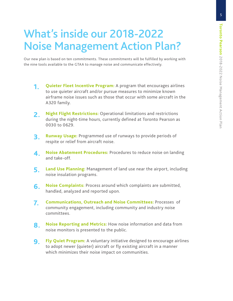## What's inside our 2018-2022 Noise Management Action Plan?

Our new plan is based on ten commitments. These commitments will be fulfilled by working with the nine tools available to the GTAA to manage noise and communicate effectively.

- **1. Quieter Fleet Incentive Program:** A program that encourages airlines to use quieter aircraft and/or pursue measures to minimize known airframe noise issues such as those that occur with some aircraft in the A320 family.
- **2. Night Flight Restrictions:** Operational limitations and restrictions during the night-time hours, currently defined at Toronto Pearson as 0030 to 0629.
- **3. Runway Usage:** Programmed use of runways to provide periods of respite or relief from aircraft noise.
- **4. Noise Abatement Procedures:** Procedures to reduce noise on landing and take-off.
- **5. Land Use Planning:** Management of land use near the airport, including noise insulation programs.
- **6.** Noise Complaints: Process around which complaints are submitted, handled, analyzed and reported upon.
- **7. Communications, Outreach and Noise Committees:** Processes of community engagement, including community and industry noise committees.
- **8. Noise Reporting and Metrics:** How noise information and data from noise monitors is presented to the public.
- **9. Fly Quiet Program:** A voluntary initiative designed to encourage airlines to adopt newer (quieter) aircraft or fly existing aircraft in a manner which minimizes their noise impact on communities.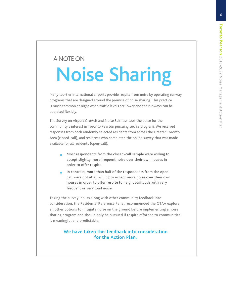### A NOTE ON

## Noise Sharing

Many top-tier international airports provide respite from noise by operating runway programs that are designed around the premise of noise sharing. This practice is most common at night when traffic levels are lower and the runways can be operated flexibly.

The Survey on Airport Growth and Noise Fairness took the pulse for the community's interest in Toronto Pearson pursuing such a program. We received responses from both randomly selected residents from across the Greater Toronto Area (closed-call), and residents who completed the online survey that was made available for all residents (open-call).

- **•** Most respondents from the closed-call sample were willing to accept slightly more frequent noise over their own houses in order to offer respite.
- **•** In contrast, more than half of the respondents from the opencall were not at all willing to accept more noise over their own houses in order to offer respite to neighbourhoods with very frequent or very loud noise.

Taking the survey inputs along with other community feedback into consideration, the Residents' Reference Panel recommended the GTAA explore all other options to mitigate noise on the ground before implementing a noise sharing program and should only be pursued if respite afforded to communities is meaningful and predictable.

#### We have taken this feedback into consideration for the Action Plan.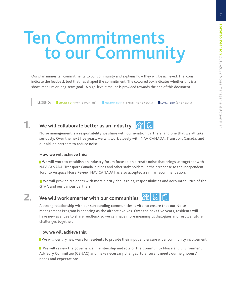## Ten Commitments to our Community

Our plan names ten commitments to our community and explains how they will be achieved. The icons indicate the feedback tool that has shaped the commitment. The coloured box indicates whether this is a short, medium or long-term goal. A high-level timeline is provided towards the end of this document.

LEGEND: SHORT TERM (0 – 18 MONTHS) MEDIUM TERM (18 MONTHS – 3 YEARS) LONG TERM (3 – 5 YEARS)

#### **1. We will collaborate better as an Industry**

Noise management is a responsibility we share with our aviation partners, and one that we all take seriously. Over the next five years, we will work closely with NAV CANADA, Transport Canada, and our airline partners to reduce noise.

#### **How we will achieve this:**

 We will work to establish an industry forum focused on aircraft noise that brings us together with NAV CANADA, Transport Canada, airlines and other stakeholders. In their response to the Independent Toronto Airspace Noise Review, NAV CANADA has also accepted a similar recommendation.

 We will provide residents with more clarity about roles, responsibilities and accountabilities of the GTAA and our various partners.

#### **2.** We will work smarter with our communities **TH**

A strong relationship with our surrounding communities is vital to ensure that our Noise Management Program is adapting as the airport evolves. Over the next five years, residents will have new avenues to share feedback so we can have more meaningful dialogues and resolve future challenges together.

#### **How we will achieve this:**

We will identify new ways for residents to provide their input and ensure wider community involvement.

**N** We will review the governance, membership and role of the Community Noise and Environment Advisory Committee (CENAC) and make necessary changes to ensure it meets our neighbours' needs and expectations.



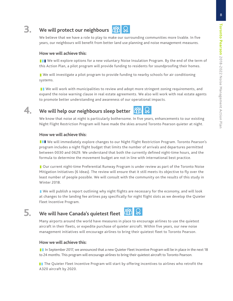#### **3. We will protect our neighbours**



We believe that we have a role to play to make our surrounding communities more livable. In five years, our neighbours will benefit from better land use planning and noise management measures.

#### **How we will achieve this:**

II We will explore options for a new voluntary Noise Insulation Program. By the end of the term of this Action Plan, a pilot program will provide funding to residents for soundproofing their homes.

We will investigate a pilot program to provide funding to nearby schools for air conditioning systems.

**I** We will work with municipalities to review and adopt more stringent zoning requirements, and expand the noise warning clause in real estate agreements. We also will work with real estate agents to promote better understanding and awareness of our operational impacts.



#### **4. We will help our neighbours sleep better**



We know that noise at night is particularly bothersome. In five years, enhancements to our existing Night Flight Restriction Program will have made the skies around Toronto Pearson quieter at night.

#### **How we will achieve this:**

**III** We will immediately explore changes to our Night Flight Restriction Program. Toronto Pearson's program includes a night flight budget that limits the number of arrivals and departures permitted between 0030 and 0629. We understand that both the currently defined night-time hours, and the formula to determine the movement budget are not in line with international best practice.

Our current night-time Preferential Runway Program is under review as part of the Toronto Noise Mitigation Initiatives (6 Ideas). The review will ensure that it still meets its objective to fly over the least number of people possible. We will consult with the community on the results of this study in Winter 2018.

 We will publish a report outlining why night flights are necessary for the economy, and will look at changes to the landing fee airlines pay specifically for night flight slots as we develop the Quieter Fleet Incentive Program.



**5.** We will have Canada's quietest fleet **in Ref** 

Many airports around the world have measures in place to encourage airlines to use the quietest aircraft in their fleets, or expedite purchase of quieter aircraft. Within five years, our new noise management initiatives will encourage airlines to bring their quietest fleet to Toronto Pearson.

#### **How we will achieve this:**

In September 2017, we announced that a new Quieter Fleet Incentive Program will be in place in the next 18 to 24 months. This program will encourage airlines to bring their quietest aircraft to Toronto Pearson.

**T** The Quieter Fleet Incentive Program will start by offering incentives to airlines who retrofit the A320 aircraft by 2020.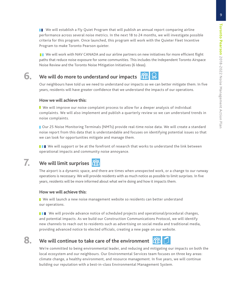We will establish a Fly Quiet Program that will publish an annual report comparing airline performance across several noise metrics. In the next 18 to 24 months, we will investigate possible criteria for this program. Once launched, this program will work with the Quieter Fleet Incentive Program to make Toronto Pearson quieter.

**II** We will work with NAV CANADA and our airline partners on new initiatives for more efficient flight paths that reduce noise exposure for some communities. This includes the Independent Toronto Airspace Noise Review and the Toronto Noise Mitigation Initiatives (6 Ideas).

#### **6.** We will do more to understand our impacts **TH** R

Our neighbours have told us we need to understand our impacts so we can better mitigate them. In five years, residents will have greater confidence that we understand the impacts of our operations.

#### **How we will achieve this:**

■ We will improve our noise complaint process to allow for a deeper analysis of individual complaints. We will also implement and publish a quarterly review so we can understand trends in noise complaints.

**Dur 25 Noise Monitoring Terminals (NMTs) provide real-time noise data. We will create a standard** noise report from this data that is understandable and focuses on identifying potential issues so that we can look for opportunities mitigate and manage them.

**III** We will support or be at the forefront of research that works to understand the link between operational impacts and community noise annoyance.

#### **7. We will limit surprises**

The airport is a dynamic space, and there are times when unexpected work, or a change to our runway operations is necessary. We will provide residents with as much notice as possible to limit surprises. In five years, residents will be more informed about what we're doing and how it impacts them.

#### **How we will achieve this:**

■ We will launch a new noise management website so residents can better understand our operations.

**THE We will provide advance notice of scheduled projects and operational/procedural changes,** and potential impacts. As we build our Construction Communications Protocol, we will identify new channels to reach out to residents such as advertising on social media and traditional media, providing advanced notice to elected officials, creating a new page on our website.

#### **8.** We will continue to take care of the environment **one**



We're committed to being environmental leader, and reducing and mitigating our impacts on both the local ecosystem and our neighbours. Our Environmental Services team focuses on three key areas: climate change, a healthy environment, and resource management. In five years, we will continue building our reputation with a best-in-class Environmental Management System.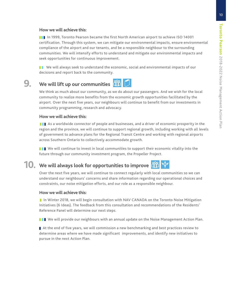#### **How we will achieve this:**

**III** In 1999, Toronto Pearson became the first North American airport to achieve ISO 14001 certification. Through this system, we can mitigate our environmental impacts, ensure environmental compliance of the airport and our tenants, and be a responsible neighbour to the surrounding communities. We will intensify efforts to understand and mitigate our environmental impacts and seek opportunities for continuous improvement.

**T** We will always seek to understand the economic, social and environmental impacts of our decisions and report back to the community.

### **9.** We will lift up our communities **TH**

We think as much about our community, as we do about our passengers. And we wish for the local community to realize more benefits from the economic growth opportunities facilitated by the airport. Over the next five years, our neighbours will continue to benefit from our investments in community programming, research and advocacy.

#### **How we will achieve this:**

**As a worldwide connector of people and businesses, and a driver of economic prosperity in the** region and the province, we will continue to support regional growth, including working with all levels of government to advance plans for the Regional Transit Centre and working with regional airports across Southern Ontario to collectively accommodate growth.

**III** We will continue to invest in local communities to support their economic vitality into the future through our community investment program, the Propeller Project.

#### **10.** We will always look for opportunities to improve **the**

Over the next five years, we will continue to connect regularly with local communities so we can understand our neighbours' concerns and share information regarding our operational choices and constraints, our noise mitigation efforts, and our role as a responsible neighbour.

#### **How we will achieve this:**

In Winter 2018, we will begin consultation with NAV CANADA on the Toronto Noise Mitigation Initiatives (6 Ideas). The feedback from this consultation and recommendations of the Residents' Reference Panel will determine our next steps.

**THE We will provide our neighbours with an annual update on the Noise Management Action Plan.** 

At the end of five years, we will commission a new benchmarking and best practices review to determine areas where we have made significant improvements, and identify new initiatives to pursue in the next Action Plan.